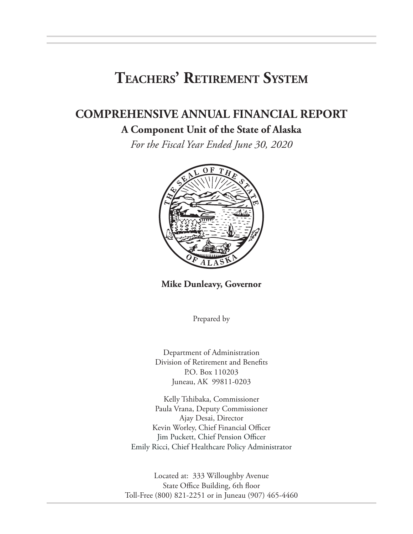# **Teachers' Retirement System**

# **COMPREHENSIVE ANNUAL FINANCIAL REPORT**

## **A Component Unit of the State of Alaska**

*For the Fiscal Year Ended June 30, 2020*



**Mike Dunleavy, Governor**

Prepared by

Department of Administration Division of Retirement and Benefits P.O. Box 110203 Juneau, AK 99811-0203

Kelly Tshibaka, Commissioner Paula Vrana, Deputy Commissioner Ajay Desai, Director Kevin Worley, Chief Financial Officer Jim Puckett, Chief Pension Officer Emily Ricci, Chief Healthcare Policy Administrator

Located at: 333 Willoughby Avenue State Office Building, 6th floor Toll-Free (800) 821-2251 or in Juneau (907) 465-4460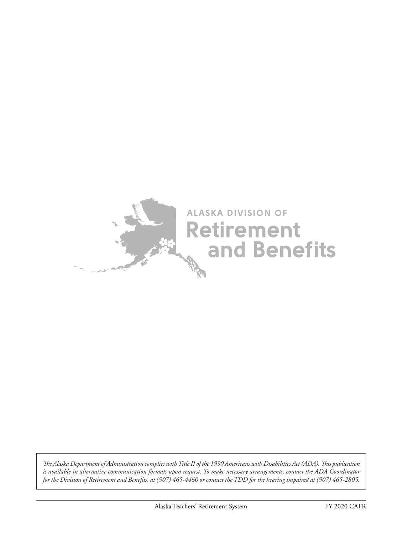

*The Alaska Department of Administration complies with Title II of the 1990 Americans with Disabilities Act (ADA). This publication is available in alternative communication formats upon request. To make necessary arrangements, contact the ADA Coordinator for the Division of Retirement and Benefits, at (907) 465-4460 or contact the TDD for the hearing impaired at (907) 465-2805.*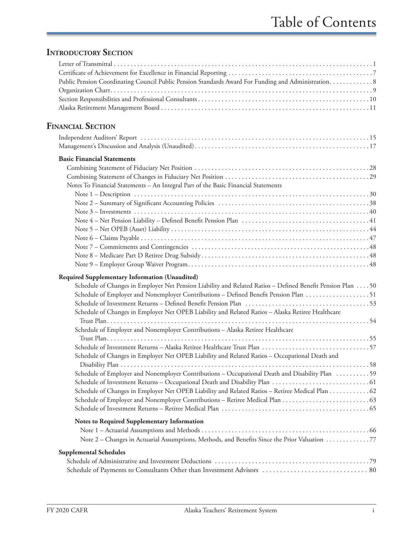## **INTRODUCTORY SECTION**

| Public Pension Coordinating Council Public Pension Standards Award For Funding and Administration. 8       |
|------------------------------------------------------------------------------------------------------------|
| <b>FINANCIAL SECTION</b>                                                                                   |
|                                                                                                            |
|                                                                                                            |
| <b>Basic Financial Statements</b>                                                                          |
|                                                                                                            |
|                                                                                                            |
| Notes To Financial Statements - An Integral Part of the Basic Financial Statements                         |
|                                                                                                            |
|                                                                                                            |
|                                                                                                            |
|                                                                                                            |
|                                                                                                            |
|                                                                                                            |
|                                                                                                            |
|                                                                                                            |
|                                                                                                            |
| Required Supplementary Information (Unaudited)                                                             |
| Schedule of Changes in Employer Net Pension Liability and Related Ratios - Defined Benefit Pension Plan 50 |
| Schedule of Employer and Nonemployer Contributions - Defined Benefit Pension Plan 51                       |
|                                                                                                            |
| Schedule of Changes in Employer Net OPEB Liability and Related Ratios - Alaska Retiree Healthcare          |
| Schedule of Employer and Nonemployer Contributions - Alaska Retiree Healthcare                             |
|                                                                                                            |
|                                                                                                            |
| Schedule of Changes in Employer Net OPEB Liability and Related Ratios - Occupational Death and             |
|                                                                                                            |
| Schedule of Employer and Nonemployer Contributions - Occupational Death and Disability Plan 59             |
| Schedule of Changes in Employer Net OPEB Liability and Related Ratios - Retiree Medical Plan 62            |
|                                                                                                            |
|                                                                                                            |
|                                                                                                            |
| Notes to Required Supplementary Information                                                                |
|                                                                                                            |
| Note 2 – Changes in Actuarial Assumptions, Methods, and Benefits Since the Prior Valuation 77              |
| <b>Supplemental Schedules</b>                                                                              |
|                                                                                                            |
|                                                                                                            |